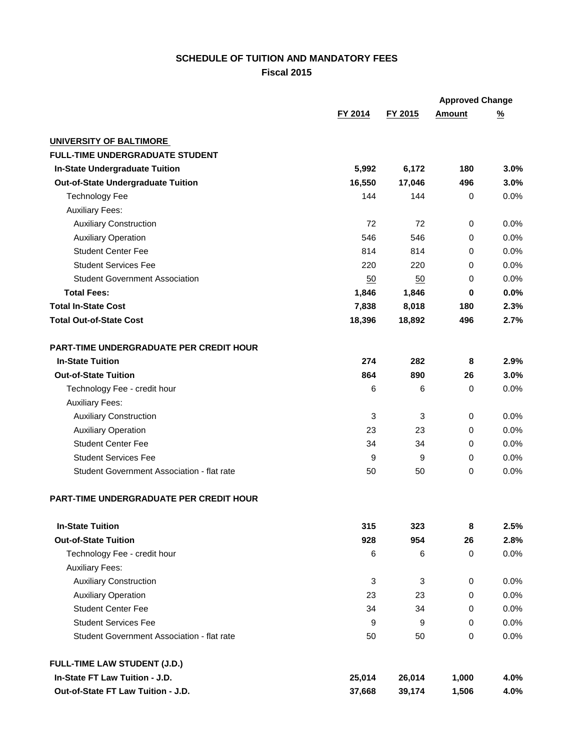## **SCHEDULE OF TUITION AND MANDATORY FEES Fiscal 2015**

|                                                |         |         |               | <b>Approved Change</b> |
|------------------------------------------------|---------|---------|---------------|------------------------|
|                                                | FY 2014 | FY 2015 | <b>Amount</b> | $\frac{9}{6}$          |
| <b>UNIVERSITY OF BALTIMORE</b>                 |         |         |               |                        |
| <b>FULL-TIME UNDERGRADUATE STUDENT</b>         |         |         |               |                        |
| In-State Undergraduate Tuition                 | 5,992   | 6,172   | 180           | 3.0%                   |
| <b>Out-of-State Undergraduate Tuition</b>      | 16,550  | 17,046  | 496           | 3.0%                   |
| <b>Technology Fee</b>                          | 144     | 144     | 0             | 0.0%                   |
| <b>Auxiliary Fees:</b>                         |         |         |               |                        |
| <b>Auxiliary Construction</b>                  | 72      | 72      | 0             | 0.0%                   |
| <b>Auxiliary Operation</b>                     | 546     | 546     | 0             | 0.0%                   |
| <b>Student Center Fee</b>                      | 814     | 814     | 0             | 0.0%                   |
| <b>Student Services Fee</b>                    | 220     | 220     | 0             | 0.0%                   |
| <b>Student Government Association</b>          | 50      | 50      | 0             | 0.0%                   |
| <b>Total Fees:</b>                             | 1,846   | 1,846   | $\mathbf 0$   | 0.0%                   |
| <b>Total In-State Cost</b>                     | 7,838   | 8,018   | 180           | 2.3%                   |
| <b>Total Out-of-State Cost</b>                 | 18,396  | 18,892  | 496           | 2.7%                   |
| PART-TIME UNDERGRADUATE PER CREDIT HOUR        |         |         |               |                        |
| <b>In-State Tuition</b>                        | 274     | 282     | 8             | 2.9%                   |
| <b>Out-of-State Tuition</b>                    | 864     | 890     | 26            | 3.0%                   |
| Technology Fee - credit hour                   | 6       | 6       | 0             | 0.0%                   |
| <b>Auxiliary Fees:</b>                         |         |         |               |                        |
| <b>Auxiliary Construction</b>                  | 3       | 3       | 0             | 0.0%                   |
| <b>Auxiliary Operation</b>                     | 23      | 23      | $\mathbf 0$   | 0.0%                   |
| <b>Student Center Fee</b>                      | 34      | 34      | 0             | 0.0%                   |
| <b>Student Services Fee</b>                    | 9       | 9       | 0             | 0.0%                   |
| Student Government Association - flat rate     | 50      | 50      | 0             | 0.0%                   |
| <b>PART-TIME UNDERGRADUATE PER CREDIT HOUR</b> |         |         |               |                        |
| <b>In-State Tuition</b>                        | 315     | 323     | 8             | 2.5%                   |
| <b>Out-of-State Tuition</b>                    | 928     | 954     | 26            | 2.8%                   |
| Technology Fee - credit hour                   | 6       | 6       | $\,0\,$       | 0.0%                   |
| <b>Auxiliary Fees:</b>                         |         |         |               |                        |
| <b>Auxiliary Construction</b>                  | 3       | 3       | 0             | 0.0%                   |
| <b>Auxiliary Operation</b>                     | 23      | 23      | 0             | 0.0%                   |
| <b>Student Center Fee</b>                      | 34      | 34      | 0             | 0.0%                   |
| <b>Student Services Fee</b>                    | 9       | 9       | 0             | 0.0%                   |
| Student Government Association - flat rate     | 50      | 50      | 0             | 0.0%                   |
| <b>FULL-TIME LAW STUDENT (J.D.)</b>            |         |         |               |                        |
| In-State FT Law Tuition - J.D.                 | 25,014  | 26,014  | 1,000         | 4.0%                   |
| Out-of-State FT Law Tuition - J.D.             | 37,668  | 39,174  | 1,506         | 4.0%                   |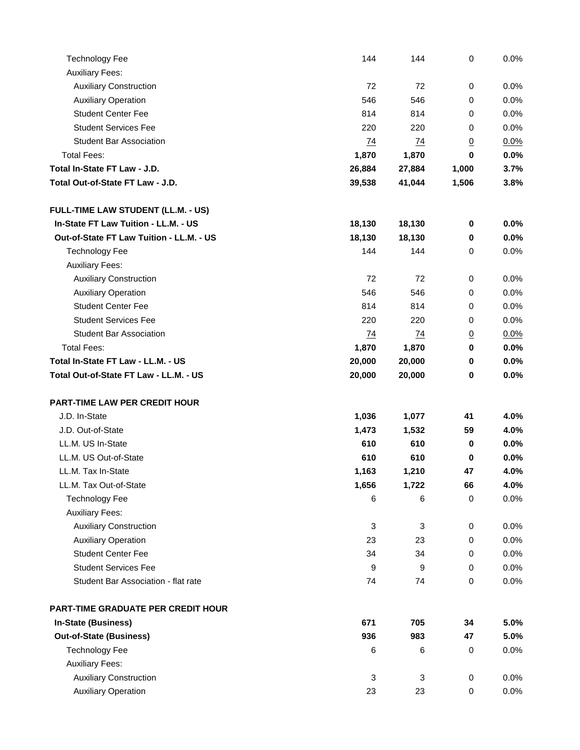| <b>Technology Fee</b>                     | 144             | 144             | $\mathbf 0$      | 0.0% |
|-------------------------------------------|-----------------|-----------------|------------------|------|
| <b>Auxiliary Fees:</b>                    |                 |                 |                  |      |
| <b>Auxiliary Construction</b>             | 72              | 72              | 0                | 0.0% |
| <b>Auxiliary Operation</b>                | 546             | 546             | 0                | 0.0% |
| <b>Student Center Fee</b>                 | 814             | 814             | 0                | 0.0% |
| <b>Student Services Fee</b>               | 220             | 220             | 0                | 0.0% |
| <b>Student Bar Association</b>            | 74              | <u>74</u>       | $\overline{0}$   | 0.0% |
| <b>Total Fees:</b>                        | 1,870           | 1,870           | 0                | 0.0% |
| Total In-State FT Law - J.D.              | 26,884          | 27,884          | 1,000            | 3.7% |
| Total Out-of-State FT Law - J.D.          | 39,538          | 41,044          | 1,506            | 3.8% |
| FULL-TIME LAW STUDENT (LL.M. - US)        |                 |                 |                  |      |
| In-State FT Law Tuition - LL.M. - US      | 18,130          | 18,130          | 0                | 0.0% |
| Out-of-State FT Law Tuition - LL.M. - US  | 18,130          | 18,130          | $\pmb{0}$        | 0.0% |
| <b>Technology Fee</b>                     | 144             | 144             | 0                | 0.0% |
| <b>Auxiliary Fees:</b>                    |                 |                 |                  |      |
| <b>Auxiliary Construction</b>             | 72              | 72              | 0                | 0.0% |
| <b>Auxiliary Operation</b>                | 546             | 546             | 0                | 0.0% |
| <b>Student Center Fee</b>                 | 814             | 814             | 0                | 0.0% |
| <b>Student Services Fee</b>               | 220             | 220             | 0                | 0.0% |
| <b>Student Bar Association</b>            | $\overline{14}$ | $\overline{74}$ | $\underline{0}$  | 0.0% |
| <b>Total Fees:</b>                        | 1,870           | 1,870           | $\bf{0}$         | 0.0% |
| Total In-State FT Law - LL.M. - US        | 20,000          | 20,000          | $\pmb{0}$        | 0.0% |
| Total Out-of-State FT Law - LL.M. - US    | 20,000          | 20,000          | 0                | 0.0% |
| PART-TIME LAW PER CREDIT HOUR             |                 |                 |                  |      |
| J.D. In-State                             | 1,036           | 1,077           | 41               | 4.0% |
| J.D. Out-of-State                         | 1,473           | 1,532           | 59               | 4.0% |
| LL.M. US In-State                         | 610             | 610             | $\mathbf 0$      | 0.0% |
| LL.M. US Out-of-State                     | 610             | 610             | 0                | 0.0% |
| LL.M. Tax In-State                        | 1,163           | 1,210           | 47               | 4.0% |
| LL.M. Tax Out-of-State                    | 1,656           | 1,722           | 66               | 4.0% |
| <b>Technology Fee</b>                     | 6               | 6               | $\pmb{0}$        | 0.0% |
| <b>Auxiliary Fees:</b>                    |                 |                 |                  |      |
| <b>Auxiliary Construction</b>             | 3               | 3               | $\pmb{0}$        | 0.0% |
| <b>Auxiliary Operation</b>                | 23              | 23              | 0                | 0.0% |
| <b>Student Center Fee</b>                 | 34              | 34              | 0                | 0.0% |
| <b>Student Services Fee</b>               | 9               | 9               | 0                | 0.0% |
| Student Bar Association - flat rate       | 74              | 74              | $\boldsymbol{0}$ | 0.0% |
| <b>PART-TIME GRADUATE PER CREDIT HOUR</b> |                 |                 |                  |      |
| <b>In-State (Business)</b>                | 671             | 705             | 34               | 5.0% |
| <b>Out-of-State (Business)</b>            | 936             | 983             | 47               | 5.0% |
| <b>Technology Fee</b>                     | 6               | 6               | 0                | 0.0% |
| <b>Auxiliary Fees:</b>                    |                 |                 |                  |      |
| <b>Auxiliary Construction</b>             | 3               | 3               | $\boldsymbol{0}$ | 0.0% |
| <b>Auxiliary Operation</b>                | 23              | 23              | $\,0\,$          | 0.0% |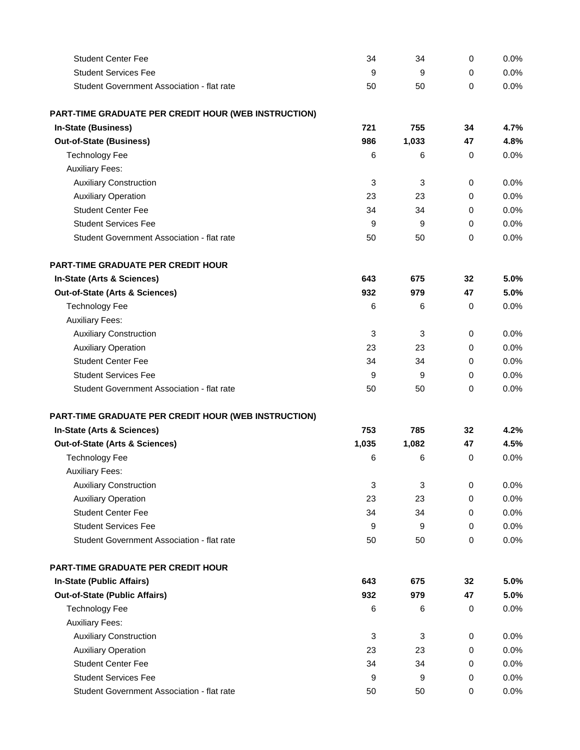| <b>Student Center Fee</b>                            | 34    | 34    | 0           | 0.0% |
|------------------------------------------------------|-------|-------|-------------|------|
| <b>Student Services Fee</b>                          | 9     | 9     | 0           | 0.0% |
| Student Government Association - flat rate           | 50    | 50    | 0           | 0.0% |
| PART-TIME GRADUATE PER CREDIT HOUR (WEB INSTRUCTION) |       |       |             |      |
| <b>In-State (Business)</b>                           | 721   | 755   | 34          | 4.7% |
| <b>Out-of-State (Business)</b>                       | 986   | 1,033 | 47          | 4.8% |
| <b>Technology Fee</b>                                | 6     | 6     | 0           | 0.0% |
| <b>Auxiliary Fees:</b>                               |       |       |             |      |
| <b>Auxiliary Construction</b>                        | 3     | 3     | 0           | 0.0% |
| <b>Auxiliary Operation</b>                           | 23    | 23    | 0           | 0.0% |
| <b>Student Center Fee</b>                            | 34    | 34    | 0           | 0.0% |
| <b>Student Services Fee</b>                          | 9     | 9     | 0           | 0.0% |
| Student Government Association - flat rate           | 50    | 50    | $\mathbf 0$ | 0.0% |
| <b>PART-TIME GRADUATE PER CREDIT HOUR</b>            |       |       |             |      |
| In-State (Arts & Sciences)                           | 643   | 675   | 32          | 5.0% |
| Out-of-State (Arts & Sciences)                       | 932   | 979   | 47          | 5.0% |
| <b>Technology Fee</b>                                | 6     | 6     | 0           | 0.0% |
| <b>Auxiliary Fees:</b>                               |       |       |             |      |
| <b>Auxiliary Construction</b>                        | 3     | 3     | 0           | 0.0% |
| <b>Auxiliary Operation</b>                           | 23    | 23    | 0           | 0.0% |
| <b>Student Center Fee</b>                            | 34    | 34    | 0           | 0.0% |
| <b>Student Services Fee</b>                          | 9     | 9     | 0           | 0.0% |
| Student Government Association - flat rate           | 50    | 50    | 0           | 0.0% |
| PART-TIME GRADUATE PER CREDIT HOUR (WEB INSTRUCTION) |       |       |             |      |
| In-State (Arts & Sciences)                           | 753   | 785   | 32          | 4.2% |
| Out-of-State (Arts & Sciences)                       | 1,035 | 1,082 | 47          | 4.5% |
| <b>Technology Fee</b>                                | 6     | 6     | 0           | 0.0% |
| <b>Auxiliary Fees:</b>                               |       |       |             |      |
| <b>Auxiliary Construction</b>                        | 3     | 3     | 0           | 0.0% |
| <b>Auxiliary Operation</b>                           | 23    | 23    | 0           | 0.0% |
| <b>Student Center Fee</b>                            | 34    | 34    | 0           | 0.0% |
| <b>Student Services Fee</b>                          | 9     | 9     | 0           | 0.0% |
| Student Government Association - flat rate           | 50    | 50    | 0           | 0.0% |
| PART-TIME GRADUATE PER CREDIT HOUR                   |       |       |             |      |
| In-State (Public Affairs)                            | 643   | 675   | 32          | 5.0% |
| <b>Out-of-State (Public Affairs)</b>                 | 932   | 979   | 47          | 5.0% |
| <b>Technology Fee</b>                                | 6     | 6     | 0           | 0.0% |
| <b>Auxiliary Fees:</b>                               |       |       |             |      |
| <b>Auxiliary Construction</b>                        | 3     | 3     | 0           | 0.0% |
| <b>Auxiliary Operation</b>                           | 23    | 23    | 0           | 0.0% |
| <b>Student Center Fee</b>                            | 34    | 34    | 0           | 0.0% |
| <b>Student Services Fee</b>                          | 9     | 9     | 0           | 0.0% |
| Student Government Association - flat rate           | 50    | 50    | $\pmb{0}$   | 0.0% |